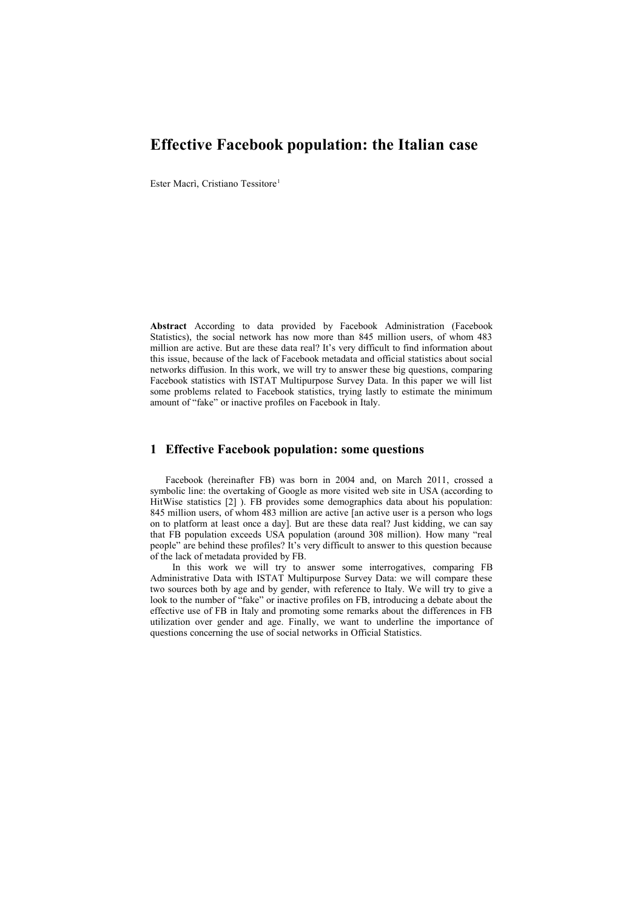# **Effective Facebook population: the Italian case**

Ester Macrì, Cristiano Tessitore<sup>1</sup>

**Abstract** According to data provided by Facebook Administration (Facebook Statistics), the social network has now more than 845 million users, of whom 483 million are active. But are these data real? It's very difficult to find information about this issue, because of the lack of Facebook metadata and official statistics about social networks diffusion. In this work, we will try to answer these big questions, comparing Facebook statistics with ISTAT Multipurpose Survey Data. In this paper we will list some problems related to Facebook statistics, trying lastly to estimate the minimum amount of "fake" or inactive profiles on Facebook in Italy.

#### **1 Effective Facebook population: some questions**

Facebook (hereinafter FB) was born in 2004 and, on March 2011, crossed a symbolic line: the overtaking of Google as more visited web site in USA (according to HitWise statistics [2] ). FB provides some demographics data about his population: 845 million users, of whom 483 million are active [an active user is a person who logs on to platform at least once a day]. But are these data real? Just kidding, we can say that FB population exceeds USA population (around 308 million). How many "real people" are behind these profiles? It's very difficult to answer to this question because of the lack of metadata provided by FB.

In this work we will try to answer some interrogatives, comparing FB Administrative Data with ISTAT Multipurpose Survey Data: we will compare these two sources both by age and by gender, with reference to Italy. We will try to give a look to the number of "fake" or inactive profiles on FB, introducing a debate about the effective use of FB in Italy and promoting some remarks about the differences in FB utilization over gender and age. Finally, we want to underline the importance of questions concerning the use of social networks in Official Statistics.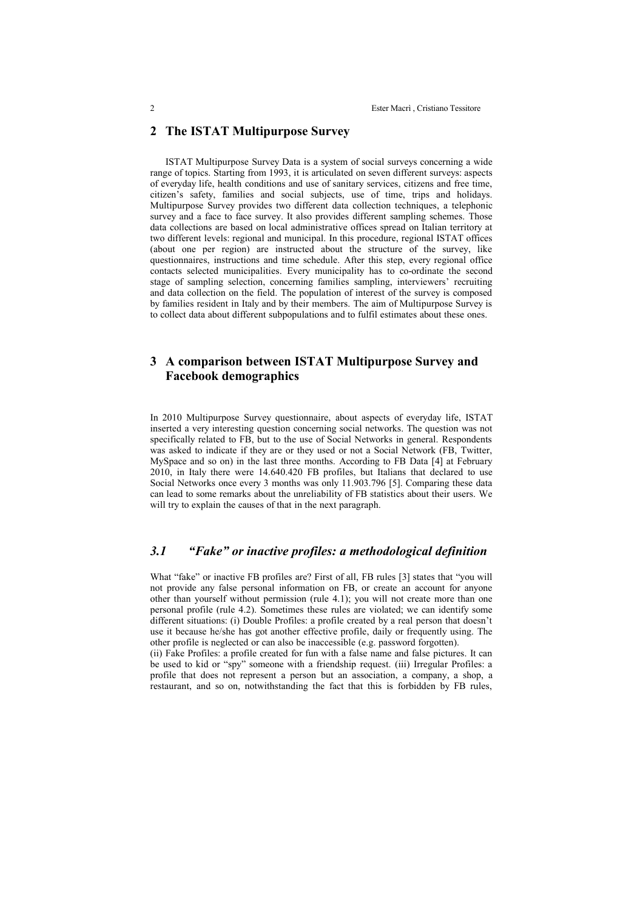## **2 The ISTAT Multipurpose Survey**

ISTAT Multipurpose Survey Data is a system of social surveys concerning a wide range of topics. Starting from 1993, it is articulated on seven different surveys: aspects of everyday life, health conditions and use of sanitary services, citizens and free time, citizen's safety, families and social subjects, use of time, trips and holidays. Multipurpose Survey provides two different data collection techniques, a telephonic survey and a face to face survey. It also provides different sampling schemes. Those data collections are based on local administrative offices spread on Italian territory at two different levels: regional and municipal. In this procedure, regional ISTAT offices (about one per region) are instructed about the structure of the survey, like questionnaires, instructions and time schedule. After this step, every regional office contacts selected municipalities. Every municipality has to co-ordinate the second stage of sampling selection, concerning families sampling, interviewers' recruiting and data collection on the field. The population of interest of the survey is composed by families resident in Italy and by their members. The aim of Multipurpose Survey is to collect data about different subpopulations and to fulfil estimates about these ones.

## **3 A comparison between ISTAT Multipurpose Survey and Facebook demographics**

In 2010 Multipurpose Survey questionnaire, about aspects of everyday life, ISTAT inserted a very interesting question concerning social networks. The question was not specifically related to FB, but to the use of Social Networks in general. Respondents was asked to indicate if they are or they used or not a Social Network (FB, Twitter, MySpace and so on) in the last three months. According to FB Data [4] at February 2010, in Italy there were 14.640.420 FB profiles, but Italians that declared to use Social Networks once every 3 months was only 11.903.796 [5]. Comparing these data can lead to some remarks about the unreliability of FB statistics about their users. We will try to explain the causes of that in the next paragraph.

### *3.1 "Fake" or inactive profiles: a methodological definition*

What "fake" or inactive FB profiles are? First of all, FB rules [3] states that "you will not provide any false personal information on FB, or create an account for anyone other than yourself without permission (rule 4.1); you will not create more than one personal profile (rule 4.2). Sometimes these rules are violated; we can identify some different situations: (i) Double Profiles: a profile created by a real person that doesn't use it because he/she has got another effective profile, daily or frequently using. The other profile is neglected or can also be inaccessible (e.g. password forgotten).

(ii) Fake Profiles: a profile created for fun with a false name and false pictures. It can be used to kid or "spy" someone with a friendship request. (iii) Irregular Profiles: a profile that does not represent a person but an association, a company, a shop, a restaurant, and so on, notwithstanding the fact that this is forbidden by FB rules,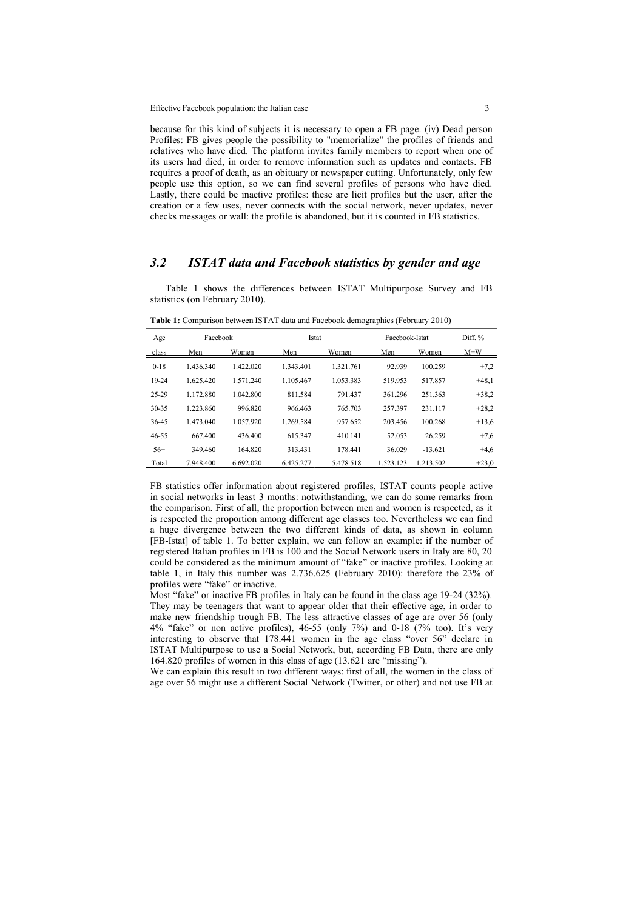Effective Facebook population: the Italian case 3

because for this kind of subjects it is necessary to open a FB page. (iv) Dead person Profiles: FB gives people the possibility to "memorialize" the profiles of friends and relatives who have died. The platform invites family members to report when one of its users had died, in order to remove information such as updates and contacts. FB requires a proof of death, as an obituary or newspaper cutting. Unfortunately, only few people use this option, so we can find several profiles of persons who have died. Lastly, there could be inactive profiles: these are licit profiles but the user, after the creation or a few uses, never connects with the social network, never updates, never checks messages or wall: the profile is abandoned, but it is counted in FB statistics.

#### *3.2 ISTAT data and Facebook statistics by gender and age*

Table 1 shows the differences between ISTAT Multipurpose Survey and FB statistics (on February 2010).

| Age      | Facebook  |           | Istat     |           | Facebook-Istat |           | Diff %  |
|----------|-----------|-----------|-----------|-----------|----------------|-----------|---------|
| class    | Men       | Women     | Men       | Women     | Men            | Women     | $M+W$   |
| $0 - 18$ | 1.436.340 | 1.422.020 | 1.343.401 | 1.321.761 | 92.939         | 100.259   | $+7,2$  |
| 19-24    | 1.625.420 | 1.571.240 | 1.105.467 | 1.053.383 | 519.953        | 517.857   | $+48,1$ |
| 25-29    | 1.172.880 | 1.042.800 | 811.584   | 791.437   | 361.296        | 251.363   | $+38.2$ |
| 30-35    | 1.223.860 | 996.820   | 966.463   | 765.703   | 257.397        | 231.117   | $+28.2$ |
| 36-45    | 1.473.040 | 1.057.920 | 1.269.584 | 957.652   | 203.456        | 100.268   | $+13,6$ |
| 46-55    | 667.400   | 436.400   | 615.347   | 410.141   | 52.053         | 26.259    | $+7,6$  |
| $56+$    | 349.460   | 164.820   | 313.431   | 178.441   | 36.029         | $-13.621$ | $+4,6$  |
| Total    | 7.948.400 | 6.692.020 | 6.425.277 | 5.478.518 | 1.523.123      | 1.213.502 | $+23,0$ |

**Table 1:** Comparison between ISTAT data and Facebook demographics (February 2010)

FB statistics offer information about registered profiles, ISTAT counts people active in social networks in least 3 months: notwithstanding, we can do some remarks from the comparison. First of all, the proportion between men and women is respected, as it is respected the proportion among different age classes too. Nevertheless we can find a huge divergence between the two different kinds of data, as shown in column [FB-Istat] of table 1. To better explain, we can follow an example: if the number of registered Italian profiles in FB is 100 and the Social Network users in Italy are 80, 20 could be considered as the minimum amount of "fake" or inactive profiles. Looking at table 1, in Italy this number was 2.736.625 (February 2010): therefore the 23% of profiles were "fake" or inactive.

Most "fake" or inactive FB profiles in Italy can be found in the class age 19-24 (32%). They may be teenagers that want to appear older that their effective age, in order to make new friendship trough FB. The less attractive classes of age are over 56 (only 4% "fake" or non active profiles), 46-55 (only 7%) and 0-18 (7% too). It's very interesting to observe that 178.441 women in the age class "over 56" declare in ISTAT Multipurpose to use a Social Network, but, according FB Data, there are only 164.820 profiles of women in this class of age (13.621 are "missing").

We can explain this result in two different ways: first of all, the women in the class of age over 56 might use a different Social Network (Twitter, or other) and not use FB at